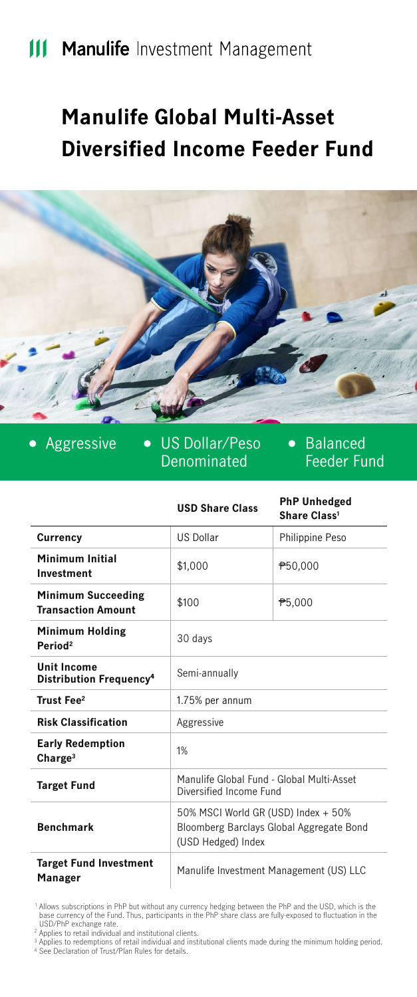# **III Manulife Investment Management**

# **Manulife Global Multi-Asset Diversified Income Feeder Fund**



 $\bullet$ 

Aggressive • US Dollar/Peso Denominated

• Balanced Feeder Fund

|                                                           | <b>USD Share Class</b>                                                                                | <b>PhP Unhedged</b><br>Share Class <sup>1</sup> |
|-----------------------------------------------------------|-------------------------------------------------------------------------------------------------------|-------------------------------------------------|
| Currency                                                  | <b>US Dollar</b>                                                                                      | Philippine Peso                                 |
| Minimum Initial<br>Investment                             | \$1.000                                                                                               | P50,000                                         |
| <b>Minimum Succeeding</b><br><b>Transaction Amount</b>    | \$100                                                                                                 | ₱5.000                                          |
| <b>Minimum Holding</b><br>Period <sup>2</sup>             | 30 days                                                                                               |                                                 |
| <b>Unit Income</b><br>Distribution Frequency <sup>4</sup> | Semi-annually                                                                                         |                                                 |
| Trust Fee <sup>2</sup>                                    | 1.75% per annum                                                                                       |                                                 |
| <b>Risk Classification</b>                                | Aggressive                                                                                            |                                                 |
| <b>Early Redemption</b><br>Charge <sup>3</sup>            | 1%                                                                                                    |                                                 |
| <b>Target Fund</b>                                        | Manulife Global Fund - Global Multi-Asset<br>Diversified Income Fund                                  |                                                 |
| <b>Benchmark</b>                                          | 50% MSCI World GR (USD) Index + 50%<br>Bloomberg Barclays Global Aggregate Bond<br>(USD Hedged) Index |                                                 |
| <b>Target Fund Investment</b><br>Manager                  | Manulife Investment Management (US) LLC                                                               |                                                 |

Allows subscriptions in PhP but without any currency hedging between the PhP and the USD, which is the<br>USD/PhP exchange rate.<br>USD/PhP exchange rate.<br>Applies to redentitional and institutional clients.<br>Applies to redentitio

2 3 4